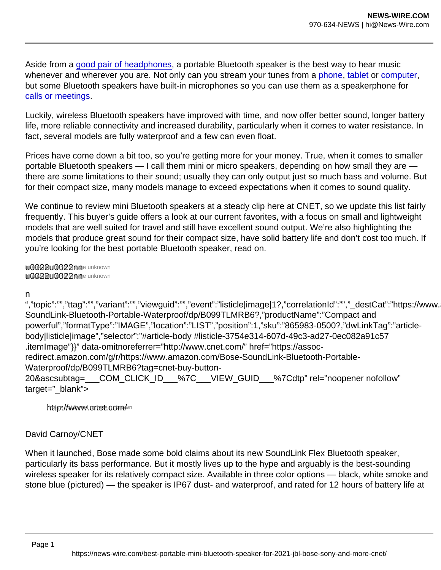Aside from a [good pair of headphones](http://www.cnet.com/tech/mobile/best-headphones/), a portable Bluetooth speaker is the best way to hear music whenever and wherever you are. Not only can you stream your tunes from a [phone,](http://www.cnet.com/tech/mobile/best-phone-to-buy-in-2021/) [tablet](http://www.cnet.com/tech/computing/best-tablet/) or [computer](http://www.cnet.com/tech/computadoras/best-laptop/), but some Bluetooth speakers have built-in microphones so you can use them as a speakerphone for [calls or meetings](http://www.cnet.com/tech/computadoras/best-webcam-and-gear-for-online-meetings/).

Luckily, wireless Bluetooth speakers have improved with time, and now offer better sound, longer battery life, more reliable connectivity and increased durability, particularly when it comes to water resistance. In fact, several models are fully waterproof and a few can even float.

Prices have come down a bit too, so you're getting more for your money. True, when it comes to smaller portable Bluetooth speakers — I call them mini or micro speakers, depending on how small they are there are some limitations to their sound; usually they can only output just so much bass and volume. But for their compact size, many models manage to exceed expectations when it comes to sound quality.

We continue to review mini Bluetooth speakers at a steady clip here at CNET, so we update this list fairly frequently. This buyer's guide offers a look at our current favorites, with a focus on small and lightweight models that are well suited for travel and still have excellent sound output. We're also highlighting the models that produce great sound for their compact size, have solid battery life and don't cost too much. If you're looking for the best portable Bluetooth speaker, read on.

u0022u0022nne unknown u0022u0022nne unknown

n

","topic":"","ttag":"","variant":"","viewguid":"","event":"listicle|image|1?,"correlationId":"","\_destCat":"https://www. SoundLink-Bluetooth-Portable-Waterproof/dp/B099TLMRB6?,"productName":"Compact and powerful","formatType":"IMAGE","location":"LIST","position":1,"sku":"865983-0500?,"dwLinkTag":"articlebody|listicle|image","selector":"#article-body #listicle-3754e314-607d-49c3-ad27-0ec082a91c57 .itemImage"}}" data-omitnoreferrer="http://www.cnet.com/" href="https://assocredirect.amazon.com/g/r/https://www.amazon.com/Bose-SoundLink-Bluetooth-Portable-Waterproof/dp/B099TLMRB6?tag=cnet-buy-button-20&ascsubtag=\_\_\_COM\_CLICK\_ID\_\_\_%7C\_\_\_VIEW\_GUID\_\_\_%7Cdtp" rel="noopener nofollow" target=" blank">

http://www.cnet.com/n

## David Carnoy/CNET

When it launched, Bose made some bold claims about its new SoundLink Flex Bluetooth speaker, particularly its bass performance. But it mostly lives up to the hype and arguably is the best-sounding wireless speaker for its relatively compact size. Available in three color options — black, white smoke and stone blue (pictured) — the speaker is IP67 dust- and waterproof, and rated for 12 hours of battery life at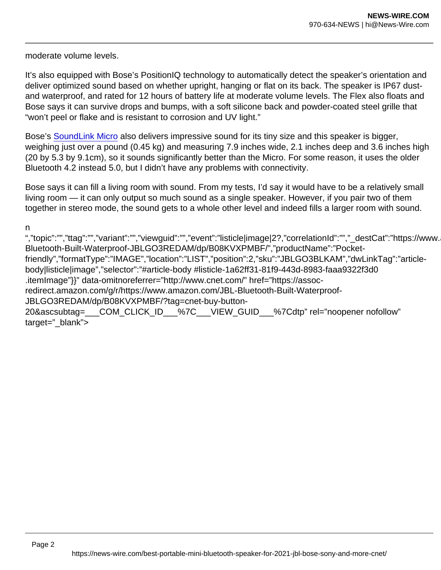moderate volume levels.

It's also equipped with Bose's PositionIQ technology to automatically detect the speaker's orientation and deliver optimized sound based on whether upright, hanging or flat on its back. The speaker is IP67 dustand waterproof, and rated for 12 hours of battery life at moderate volume levels. The Flex also floats and Bose says it can survive drops and bumps, with a soft silicone back and powder-coated steel grille that "won't peel or flake and is resistant to corrosion and UV light."

Bose's [SoundLink Micro](https://www.cnet.com/reviews/bose-soundlink-micro-review/) also delivers impressive sound for its tiny size and this speaker is bigger, weighing just over a pound (0.45 kg) and measuring 7.9 inches wide, 2.1 inches deep and 3.6 inches high (20 by 5.3 by 9.1cm), so it sounds significantly better than the Micro. For some reason, it uses the older Bluetooth 4.2 instead 5.0, but I didn't have any problems with connectivity.

Bose says it can fill a living room with sound. From my tests, I'd say it would have to be a relatively small living room — it can only output so much sound as a single speaker. However, if you pair two of them together in stereo mode, the sound gets to a whole other level and indeed fills a larger room with sound.

n

","topic":"","ttag":"","variant":"","viewguid":"","event":"listicle|image|2?,"correlationId":"","\_destCat":"https://www. Bluetooth-Built-Waterproof-JBLGO3REDAM/dp/B08KVXPMBF/","productName":"Pocketfriendly","formatType":"IMAGE","location":"LIST","position":2,"sku":"JBLGO3BLKAM","dwLinkTag":"articlebody|listicle|image","selector":"#article-body #listicle-1a62ff31-81f9-443d-8983-faaa9322f3d0 .itemImage"}}" data-omitnoreferrer="http://www.cnet.com/" href="https://assocredirect.amazon.com/g/r/https://www.amazon.com/JBL-Bluetooth-Built-Waterproof-JBLGO3REDAM/dp/B08KVXPMBF/?tag=cnet-buy-button-20&ascsubtag=\_\_\_COM\_CLICK\_ID\_\_\_%7C\_\_\_VIEW\_GUID\_\_\_%7Cdtp" rel="noopener nofollow" target=" blank">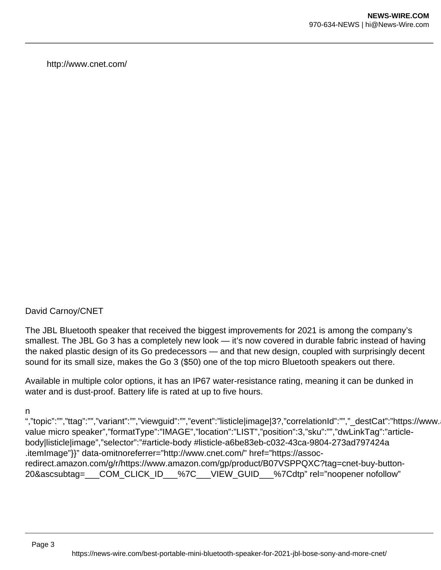http://www.cnet.com/

## David Carnoy/CNET

The JBL Bluetooth speaker that received the biggest improvements for 2021 is among the company's smallest. The JBL Go 3 has a completely new look — it's now covered in durable fabric instead of having the naked plastic design of its Go predecessors — and that new design, coupled with surprisingly decent sound for its small size, makes the Go 3 (\$50) one of the top micro Bluetooth speakers out there.

Available in multiple color options, it has an IP67 water-resistance rating, meaning it can be dunked in water and is dust-proof. Battery life is rated at up to five hours.

n

","topic":"","ttag":"","variant":"","viewguid":"","event":"listicle|image|3?,"correlationId":"","\_destCat":"https://www. value micro speaker","formatType":"IMAGE","location":"LIST","position":3,"sku":"","dwLinkTag":"articlebody|listicle|image","selector":"#article-body #listicle-a6be83eb-c032-43ca-9804-273ad797424a .itemImage"}}" data-omitnoreferrer="http://www.cnet.com/" href="https://assocredirect.amazon.com/g/r/https://www.amazon.com/gp/product/B07VSPPQXC?tag=cnet-buy-button-20&ascsubtag= COM\_CLICK\_ID %7C VIEW\_GUID %7Cdtp" rel="noopener nofollow"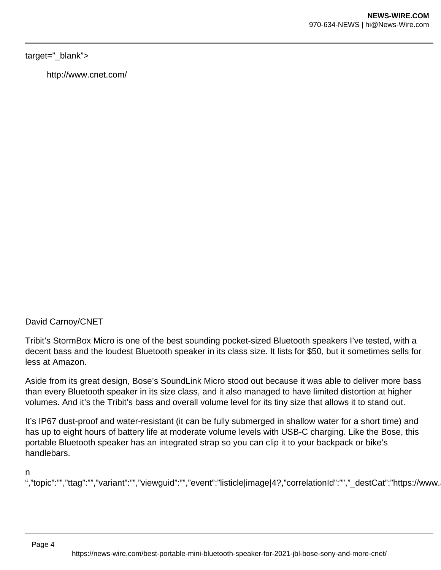#### target="\_blank">

http://www.cnet.com/

David Carnoy/CNET

Tribit's StormBox Micro is one of the best sounding pocket-sized Bluetooth speakers I've tested, with a decent bass and the loudest Bluetooth speaker in its class size. It lists for \$50, but it sometimes sells for less at Amazon.

Aside from its great design, Bose's SoundLink Micro stood out because it was able to deliver more bass than every Bluetooth speaker in its size class, and it also managed to have limited distortion at higher volumes. And it's the Tribit's bass and overall volume level for its tiny size that allows it to stand out.

It's IP67 dust-proof and water-resistant (it can be fully submerged in shallow water for a short time) and has up to eight hours of battery life at moderate volume levels with USB-C charging. Like the Bose, this portable Bluetooth speaker has an integrated strap so you can clip it to your backpack or bike's handlebars.

n

","topic":"","ttag":"","variant":"","viewguid":"","event":"listicle|image|4?,"correlationId":"","\_destCat":"https://www.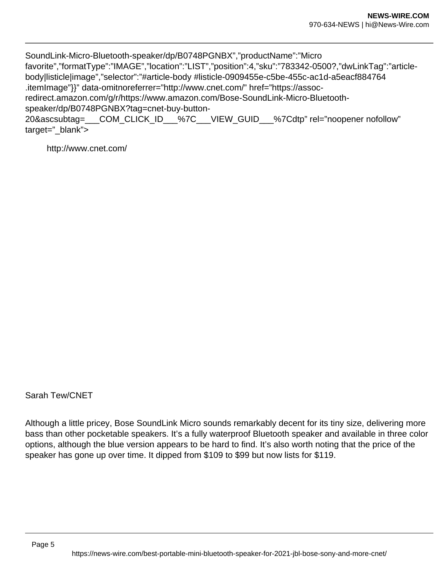SoundLink-Micro-Bluetooth-speaker/dp/B0748PGNBX","productName":"Micro favorite","formatType":"IMAGE","location":"LIST","position":4,"sku":"783342-0500?,"dwLinkTag":"articlebody|listicle|image","selector":"#article-body #listicle-0909455e-c5be-455c-ac1d-a5eacf884764 .itemImage"}}" data-omitnoreferrer="http://www.cnet.com/" href="https://assocredirect.amazon.com/g/r/https://www.amazon.com/Bose-SoundLink-Micro-Bluetoothspeaker/dp/B0748PGNBX?tag=cnet-buy-button-20&ascsubtag= COM\_CLICK\_ID %7C VIEW\_GUID %7Cdtp" rel="noopener nofollow" target="\_blank">

http://www.cnet.com/

Sarah Tew/CNET

Although a little pricey, Bose SoundLink Micro sounds remarkably decent for its tiny size, delivering more bass than other pocketable speakers. It's a fully waterproof Bluetooth speaker and available in three color options, although the blue version appears to be hard to find. It's also worth noting that the price of the speaker has gone up over time. It dipped from \$109 to \$99 but now lists for \$119.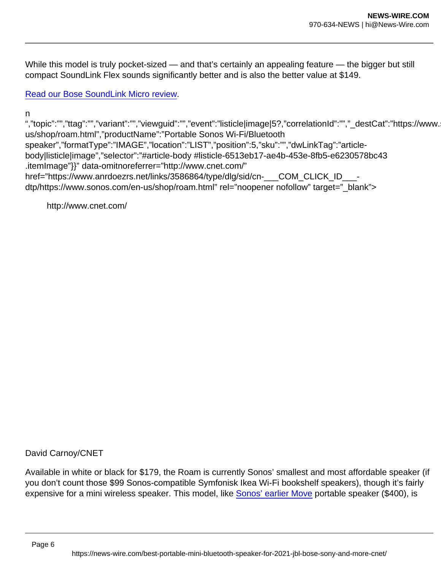While this model is truly pocket-sized — and that's certainly an appealing feature — the bigger but still compact SoundLink Flex sounds significantly better and is also the better value at \$149.

[Read our Bose SoundLink Micro review.](http://www.cnet.com/reviews/bose-soundlink-micro-review/)

n

","topic":"","ttag":"","variant":"","viewguid":"","event":"listicle|image|5?,"correlationId":"","\_destCat":"https://www. us/shop/roam.html","productName":"Portable Sonos Wi-Fi/Bluetooth speaker","formatType":"IMAGE","location":"LIST","position":5,"sku":"","dwLinkTag":"articlebody|listicle|image","selector":"#article-body #listicle-6513eb17-ae4b-453e-8fb5-e6230578bc43 .itemImage"}}" data-omitnoreferrer="http://www.cnet.com/" href="https://www.anrdoezrs.net/links/3586864/type/dlg/sid/cn- COM\_CLICK\_ID dtp/https://www.sonos.com/en-us/shop/roam.html" rel="noopener nofollow" target=" blank">

http://www.cnet.com/

David Carnoy/CNET

Available in white or black for \$179, the Roam is currently Sonos' smallest and most affordable speaker (if you don't count those \$99 Sonos-compatible Symfonisk Ikea Wi-Fi bookshelf speakers), though it's fairly expensive for a mini wireless speaker. This model, like [Sonos' earlier Move](https://www.cnet.com/reviews/sonos-move-review/) portable speaker (\$400), is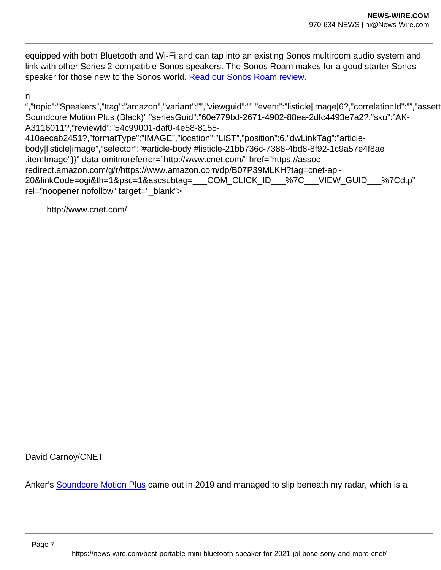equipped with both Bluetooth and Wi-Fi and can tap into an existing Sonos multiroom audio system and link with other Series 2-compatible Sonos speakers. The Sonos Roam makes for a good starter Sonos speaker for those new to the Sonos world. [Read our Sonos Roam review.](https://www.cnet.com/news/sonos-roam-review/)

n

","topic":"Speakers","ttag":"amazon","variant":"","viewguid":"","event":"listicle|image|6?,"correlationId":"","assett Soundcore Motion Plus (Black)","seriesGuid":"60e779bd-2671-4902-88ea-2dfc4493e7a2?,"sku":"AK-A3116011?,"reviewId":"54c99001-daf0-4e58-8155- 410aecab2451?,"formatType":"IMAGE","location":"LIST","position":6,"dwLinkTag":"articlebody|listicle|image","selector":"#article-body #listicle-21bb736c-7388-4bd8-8f92-1c9a57e4f8ae .itemImage"}}" data-omitnoreferrer="http://www.cnet.com/" href="https://assocredirect.amazon.com/g/r/https://www.amazon.com/dp/B07P39MLKH?tag=cnet-api-20&linkCode=ogi&th=1&psc=1&ascsubtag=\_\_\_COM\_CLICK\_ID\_\_\_%7C\_\_\_VIEW\_GUID\_\_\_%7Cdtp" rel="noopener nofollow" target=" blank">

http://www.cnet.com/

David Carnoy/CNET

Anker's [Soundcore Motion Plus](https://assoc-redirect.amazon.com/g/r/https://www.amazon.com/Anker-Soundcore-Motion-Altavoz-Bluetooth/dp/B07P39MLKH/?tag=cnet-buy-button-20&ascsubtag=___COM_CLICK_ID___|___VIEW_GUID___|dtp) came out in 2019 and managed to slip beneath my radar, which is a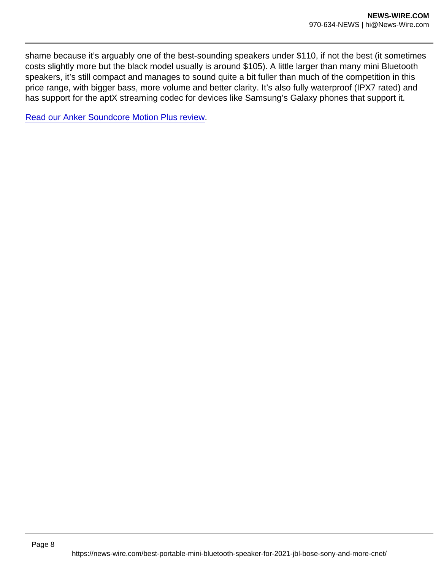shame because it's arguably one of the best-sounding speakers under \$110, if not the best (it sometimes costs slightly more but the black model usually is around \$105). A little larger than many mini Bluetooth speakers, it's still compact and manages to sound quite a bit fuller than much of the competition in this price range, with bigger bass, more volume and better clarity. It's also fully waterproof (IPX7 rated) and has support for the aptX streaming codec for devices like Samsung's Galaxy phones that support it.

[Read our Anker Soundcore Motion Plus review](http://www.cnet.com/reviews/anker-soundcore-motion-plus-review/).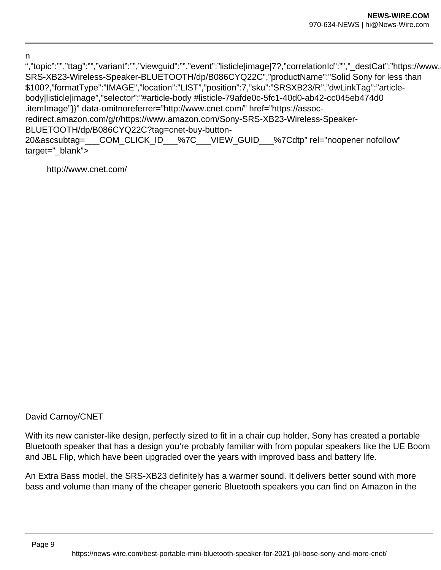n

","topic":"","ttag":"","variant":"","viewguid":"","event":"listicle|image|7?,"correlationId":"","\_destCat":"https://www. SRS-XB23-Wireless-Speaker-BLUETOOTH/dp/B086CYQ22C","productName":"Solid Sony for less than \$100?,"formatType":"IMAGE","location":"LIST","position":7,"sku":"SRSXB23/R","dwLinkTag":"articlebody|listicle|image","selector":"#article-body #listicle-79afde0c-5fc1-40d0-ab42-cc045eb474d0 .itemImage"}}" data-omitnoreferrer="http://www.cnet.com/" href="https://assocredirect.amazon.com/g/r/https://www.amazon.com/Sony-SRS-XB23-Wireless-Speaker-BLUETOOTH/dp/B086CYQ22C?tag=cnet-buy-button-20&ascsubtag=\_\_\_COM\_CLICK\_ID\_\_\_%7C\_\_\_VIEW\_GUID\_\_\_%7Cdtp" rel="noopener nofollow" target=" blank">

http://www.cnet.com/

## David Carnoy/CNET

With its new canister-like design, perfectly sized to fit in a chair cup holder, Sony has created a portable Bluetooth speaker that has a design you're probably familiar with from popular speakers like the UE Boom and JBL Flip, which have been upgraded over the years with improved bass and battery life.

An Extra Bass model, the SRS-XB23 definitely has a warmer sound. It delivers better sound with more bass and volume than many of the cheaper generic Bluetooth speakers you can find on Amazon in the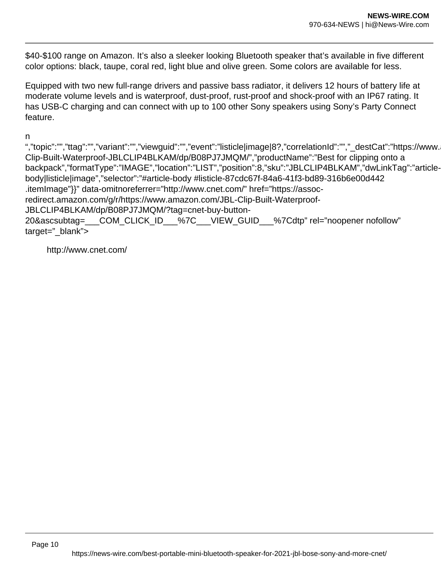\$40-\$100 range on Amazon. It's also a sleeker looking Bluetooth speaker that's available in five different color options: black, taupe, coral red, light blue and olive green. Some colors are available for less.

Equipped with two new full-range drivers and passive bass radiator, it delivers 12 hours of battery life at moderate volume levels and is waterproof, dust-proof, rust-proof and shock-proof with an IP67 rating. It has USB-C charging and can connect with up to 100 other Sony speakers using Sony's Party Connect feature.

n

","topic":"","ttag":"","variant":"","viewguid":"","event":"listicle|image|8?,"correlationId":"","\_destCat":"https://www. Clip-Built-Waterproof-JBLCLIP4BLKAM/dp/B08PJ7JMQM/","productName":"Best for clipping onto a backpack","formatType":"IMAGE","location":"LIST","position":8,"sku":"JBLCLIP4BLKAM","dwLinkTag":"articlebody|listicle|image","selector":"#article-body #listicle-87cdc67f-84a6-41f3-bd89-316b6e00d442 .itemImage"}}" data-omitnoreferrer="http://www.cnet.com/" href="https://assocredirect.amazon.com/g/r/https://www.amazon.com/JBL-Clip-Built-Waterproof-JBLCLIP4BLKAM/dp/B08PJ7JMQM/?tag=cnet-buy-button-20&ascsubtag=\_\_\_COM\_CLICK\_ID\_\_\_%7C\_\_\_VIEW\_GUID\_\_\_%7Cdtp" rel="noopener nofollow" target=" blank">

http://www.cnet.com/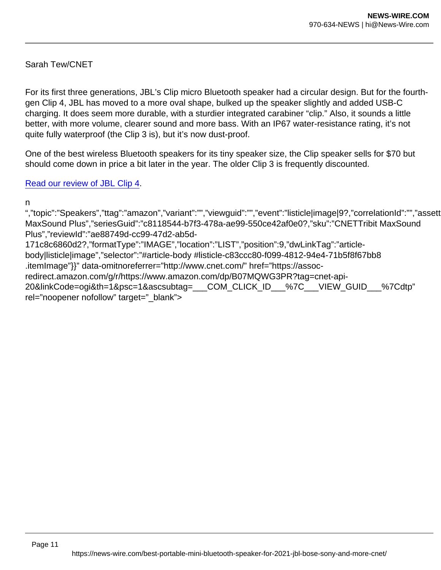Sarah Tew/CNET

For its first three generations, JBL's Clip micro Bluetooth speaker had a circular design. But for the fourthgen Clip 4, JBL has moved to a more oval shape, bulked up the speaker slightly and added USB-C charging. It does seem more durable, with a sturdier integrated carabiner "clip." Also, it sounds a little better, with more volume, clearer sound and more bass. With an IP67 water-resistance rating, it's not quite fully waterproof (the Clip 3 is), but it's now dust-proof.

One of the best wireless Bluetooth speakers for its tiny speaker size, the Clip speaker sells for \$70 but should come down in price a bit later in the year. The older Clip 3 is frequently discounted.

[Read our review of JBL Clip 4.](https://www.cnet.com/news/jbl-clip-4-bluetooth-speaker-review-a-new-design-and-slightly-improved-sound-quality/)

n

","topic":"Speakers","ttag":"amazon","variant":"","viewguid":"","event":"listicle|image|9?,"correlationId":"","assett MaxSound Plus","seriesGuid":"c8118544-b7f3-478a-ae99-550ce42af0e0?,"sku":"CNETTribit MaxSound Plus","reviewId":"ae88749d-cc99-47d2-ab5d-171c8c6860d2?,"formatType":"IMAGE","location":"LIST","position":9,"dwLinkTag":"articlebody|listicle|image","selector":"#article-body #listicle-c83ccc80-f099-4812-94e4-71b5f8f67bb8 .itemImage"}}" data-omitnoreferrer="http://www.cnet.com/" href="https://assocredirect.amazon.com/g/r/https://www.amazon.com/dp/B07MQWG3PR?tag=cnet-api-20&linkCode=ogi&th=1&psc=1&ascsubtag=\_\_\_COM\_CLICK\_ID\_\_\_%7C\_\_\_VIEW\_GUID\_\_\_%7Cdtp" rel="noopener nofollow" target="\_blank">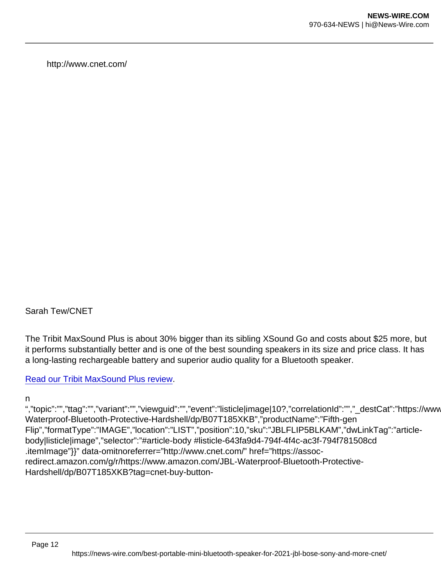http://www.cnet.com/

Sarah Tew/CNET

The Tribit MaxSound Plus is about 30% bigger than its sibling XSound Go and costs about \$25 more, but it performs substantially better and is one of the best sounding speakers in its size and price class. It has a long-lasting rechargeable battery and superior audio quality for a Bluetooth speaker.

[Read our Tribit MaxSound Plus review.](http://www.cnet.com/reviews/tribit-maxsound-plus-review/)

n

","topic":"","ttag":"","variant":"","viewguid":"","event":"listicle|image|10?,"correlationId":"","\_destCat":"https://www Waterproof-Bluetooth-Protective-Hardshell/dp/B07T185XKB","productName":"Fifth-gen Flip","formatType":"IMAGE","location":"LIST","position":10,"sku":"JBLFLIP5BLKAM","dwLinkTag":"articlebody|listicle|image","selector":"#article-body #listicle-643fa9d4-794f-4f4c-ac3f-794f781508cd .itemImage"}}" data-omitnoreferrer="http://www.cnet.com/" href="https://assocredirect.amazon.com/g/r/https://www.amazon.com/JBL-Waterproof-Bluetooth-Protective-Hardshell/dp/B07T185XKB?tag=cnet-buy-button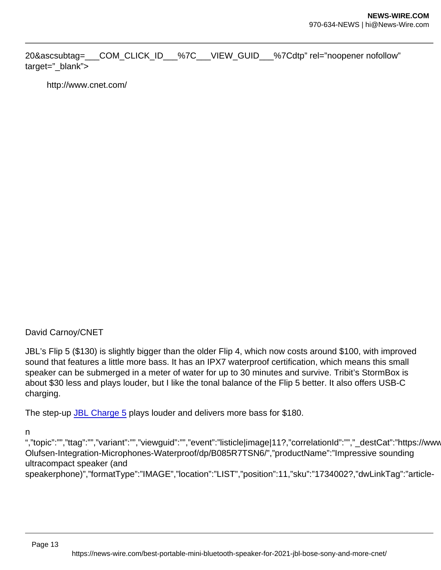20&ascsubtag= COM\_CLICK\_ID %7C VIEW\_GUID %7Cdtp" rel="noopener nofollow" target="\_blank">

http://www.cnet.com/

## David Carnoy/CNET

JBL's Flip 5 (\$130) is slightly bigger than the older Flip 4, which now costs around \$100, with improved sound that features a little more bass. It has an IPX7 waterproof certification, which means this small speaker can be submerged in a meter of water for up to 30 minutes and survive. Tribit's StormBox is about \$30 less and plays louder, but I like the tonal balance of the Flip 5 better. It also offers USB-C charging.

The step-up [JBL Charge 5](https://assoc-redirect.amazon.com/g/r/https://www.amazon.com/JBL-CHARGE-Portable-Bluetooth-Waterproof/dp/B08X4YMTPM?tag=cnet-buy-button-20&ascsubtag=___COM_CLICK_ID___|___VIEW_GUID___|dtp) plays louder and delivers more bass for \$180.

n

","topic":"","ttag":"","variant":"","viewguid":"","event":"listicle|image|11?,"correlationId":"","\_destCat":"https://www Olufsen-Integration-Microphones-Waterproof/dp/B085R7TSN6/","productName":"Impressive sounding ultracompact speaker (and

speakerphone)","formatType":"IMAGE","location":"LIST","position":11,"sku":"1734002?,"dwLinkTag":"article-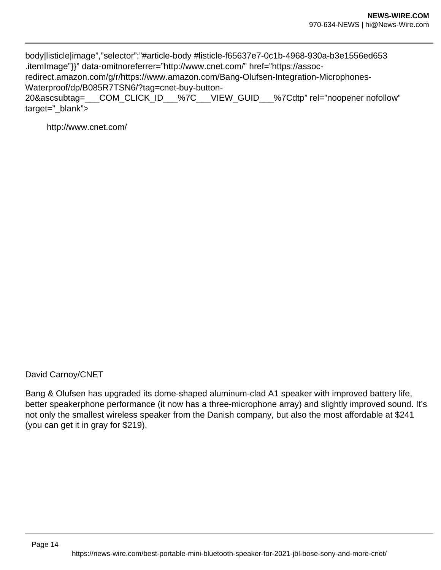body|listicle|image","selector":"#article-body #listicle-f65637e7-0c1b-4968-930a-b3e1556ed653 .itemImage"}}" data-omitnoreferrer="http://www.cnet.com/" href="https://assoc-

redirect.amazon.com/g/r/https://www.amazon.com/Bang-Olufsen-Integration-Microphones-Waterproof/dp/B085R7TSN6/?tag=cnet-buy-button-

20&ascsubtag=\_\_\_COM\_CLICK\_ID\_\_\_%7C\_\_\_VIEW\_GUID\_\_\_%7Cdtp" rel="noopener nofollow" target="\_blank">

http://www.cnet.com/

David Carnoy/CNET

Bang & Olufsen has upgraded its dome-shaped aluminum-clad A1 speaker with improved battery life, better speakerphone performance (it now has a three-microphone array) and slightly improved sound. It's not only the smallest wireless speaker from the Danish company, but also the most affordable at \$241 (you can get it in gray for \$219).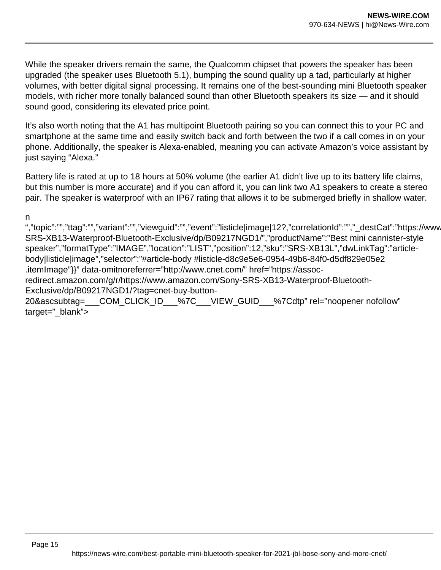While the speaker drivers remain the same, the Qualcomm chipset that powers the speaker has been upgraded (the speaker uses Bluetooth 5.1), bumping the sound quality up a tad, particularly at higher volumes, with better digital signal processing. It remains one of the best-sounding mini Bluetooth speaker models, with richer more tonally balanced sound than other Bluetooth speakers its size — and it should sound good, considering its elevated price point.

It's also worth noting that the A1 has multipoint Bluetooth pairing so you can connect this to your PC and smartphone at the same time and easily switch back and forth between the two if a call comes in on your phone. Additionally, the speaker is Alexa-enabled, meaning you can activate Amazon's voice assistant by just saying "Alexa."

Battery life is rated at up to 18 hours at 50% volume (the earlier A1 didn't live up to its battery life claims, but this number is more accurate) and if you can afford it, you can link two A1 speakers to create a stereo pair. The speaker is waterproof with an IP67 rating that allows it to be submerged briefly in shallow water.

n

","topic":"","ttag":"","variant":"","viewguid":"","event":"listicle|image|12?,"correlationId":"","\_destCat":"https://www SRS-XB13-Waterproof-Bluetooth-Exclusive/dp/B09217NGD1/","productName":"Best mini cannister-style speaker","formatType":"IMAGE","location":"LIST","position":12,"sku":"SRS-XB13L","dwLinkTag":"articlebody|listicle|image","selector":"#article-body #listicle-d8c9e5e6-0954-49b6-84f0-d5df829e05e2 .itemImage"}}" data-omitnoreferrer="http://www.cnet.com/" href="https://assocredirect.amazon.com/g/r/https://www.amazon.com/Sony-SRS-XB13-Waterproof-Bluetooth-Exclusive/dp/B09217NGD1/?tag=cnet-buy-button-20&ascsubtag=\_\_\_COM\_CLICK\_ID\_\_\_%7C\_\_\_VIEW\_GUID\_\_\_%7Cdtp" rel="noopener nofollow" target="\_blank">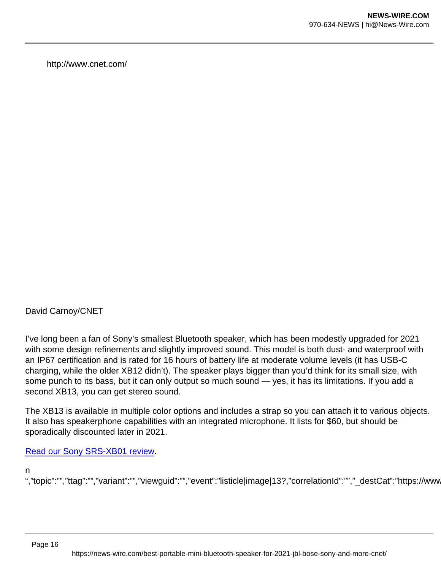http://www.cnet.com/

David Carnoy/CNET

I've long been a fan of Sony's smallest Bluetooth speaker, which has been modestly upgraded for 2021 with some design refinements and slightly improved sound. This model is both dust- and waterproof with an IP67 certification and is rated for 16 hours of battery life at moderate volume levels (it has USB-C charging, while the older XB12 didn't). The speaker plays bigger than you'd think for its small size, with some punch to its bass, but it can only output so much sound — yes, it has its limitations. If you add a second XB13, you can get stereo sound.

The XB13 is available in multiple color options and includes a strap so you can attach it to various objects. It also has speakerphone capabilities with an integrated microphone. It lists for \$60, but should be sporadically discounted later in 2021.

## [Read our Sony SRS-XB01 review](https://www.cnet.com/reviews/sony-srs-xb01-review/).

n

","topic":"","ttag":"","variant":"","viewguid":"","event":"listicle|image|13?,"correlationId":"","\_destCat":"https://www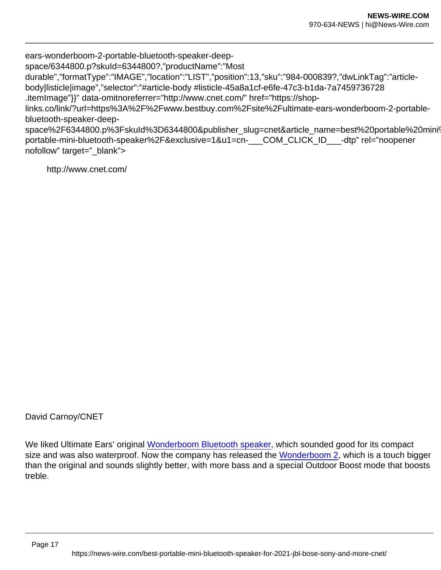ears-wonderboom-2-portable-bluetooth-speaker-deep-

space/6344800.p?skuId=6344800?,"productName":"Most

durable","formatType":"IMAGE","location":"LIST","position":13,"sku":"984-000839?,"dwLinkTag":"articlebody|listicle|image","selector":"#article-body #listicle-45a8a1cf-e6fe-47c3-b1da-7a7459736728

.itemImage"}}" data-omitnoreferrer="http://www.cnet.com/" href="https://shop-

links.co/link/?url=https%3A%2F%2Fwww.bestbuy.com%2Fsite%2Fultimate-ears-wonderboom-2-portablebluetooth-speaker-deep-

space%2F6344800.p%3FskuId%3D6344800&publisher\_slug=cnet&article\_name=best%20portable%20mini' portable-mini-bluetooth-speaker%2F&exclusive=1&u1=cn-\_\_\_COM\_CLICK\_ID\_\_\_-dtp" rel="noopener nofollow" target=" blank">

http://www.cnet.com/

David Carnoy/CNET

We liked Ultimate Ears' original [Wonderboom Bluetooth speaker](https://www.cnet.com/reviews/ue-wonderboom-review/), which sounded good for its compact size and was also waterproof. Now the company has released the [Wonderboom 2,](https://ultimate-ears.dubn.net/c/159047/500013/8590?subId1=cn-___COM_CLICK_ID___-dtp&sharedId=cnet&u=https://www.ultimateears.com/en-us/wireless-speakers/wonderboom-2.html) which is a touch bigger than the original and sounds slightly better, with more bass and a special Outdoor Boost mode that boosts treble.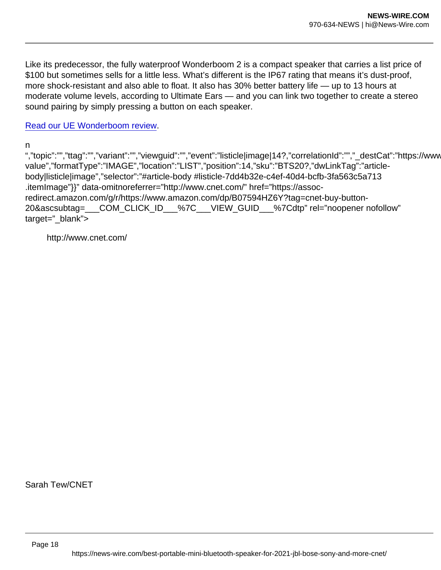Like its predecessor, the fully waterproof Wonderboom 2 is a compact speaker that carries a list price of \$100 but sometimes sells for a little less. What's different is the IP67 rating that means it's dust-proof, more shock-resistant and also able to float. It also has 30% better battery life — up to 13 hours at moderate volume levels, according to Ultimate Ears — and you can link two together to create a stereo sound pairing by simply pressing a button on each speaker.

[Read our UE Wonderboom review.](http://www.cnet.com/reviews/ue-wonderboom-review/)

n

","topic":"","ttag":"","variant":"","viewguid":"","event":"listicle|image|14?,"correlationId":"","\_destCat":"https://www value","formatType":"IMAGE","location":"LIST","position":14,"sku":"BTS20?,"dwLinkTag":"articlebody|listicle|image","selector":"#article-body #listicle-7dd4b32e-c4ef-40d4-bcfb-3fa563c5a713 .itemImage"}}" data-omitnoreferrer="http://www.cnet.com/" href="https://assocredirect.amazon.com/g/r/https://www.amazon.com/dp/B07594HZ6Y?tag=cnet-buy-button-20&ascsubtag=\_\_\_COM\_CLICK\_ID\_\_\_%7C\_\_\_VIEW\_GUID\_\_\_%7Cdtp" rel="noopener nofollow" target="\_blank">

http://www.cnet.com/

Sarah Tew/CNET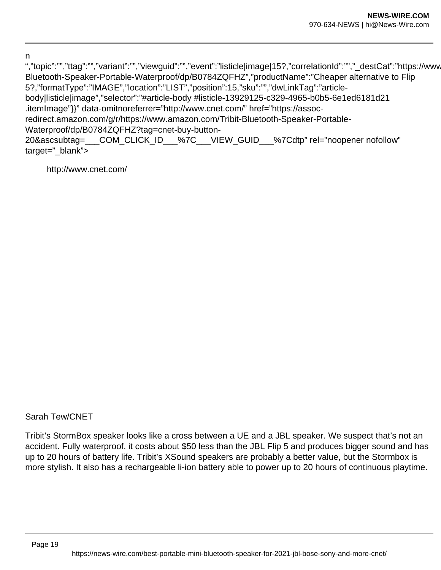n

","topic":"","ttag":"","variant":"","viewguid":"","event":"listicle|image|15?,"correlationId":"","\_destCat":"https://www Bluetooth-Speaker-Portable-Waterproof/dp/B0784ZQFHZ","productName":"Cheaper alternative to Flip 5?,"formatType":"IMAGE","location":"LIST","position":15,"sku":"","dwLinkTag":"articlebody|listicle|image","selector":"#article-body #listicle-13929125-c329-4965-b0b5-6e1ed6181d21 .itemImage"}}" data-omitnoreferrer="http://www.cnet.com/" href="https://assocredirect.amazon.com/g/r/https://www.amazon.com/Tribit-Bluetooth-Speaker-Portable-Waterproof/dp/B0784ZQFHZ?tag=cnet-buy-button-20&ascsubtag=\_\_\_COM\_CLICK\_ID\_\_\_%7C\_\_\_VIEW\_GUID\_\_\_%7Cdtp" rel="noopener nofollow" target=" blank">

http://www.cnet.com/

Sarah Tew/CNET

Tribit's StormBox speaker looks like a cross between a UE and a JBL speaker. We suspect that's not an accident. Fully waterproof, it costs about \$50 less than the JBL Flip 5 and produces bigger sound and has up to 20 hours of battery life. Tribit's XSound speakers are probably a better value, but the Stormbox is more stylish. It also has a rechargeable li-ion battery able to power up to 20 hours of continuous playtime.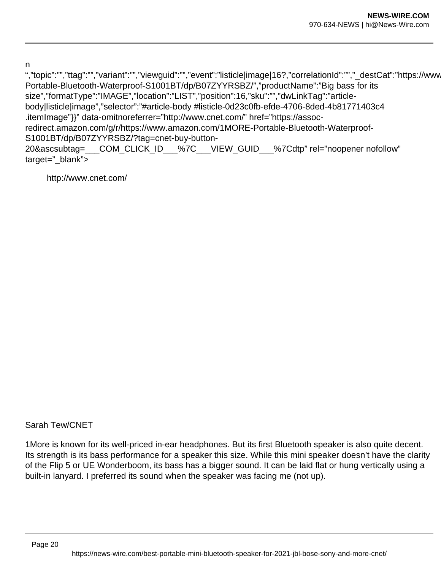n

","topic":"","ttag":"","variant":"","viewguid":"","event":"listicle|image|16?,"correlationId":"","\_destCat":"https://www Portable-Bluetooth-Waterproof-S1001BT/dp/B07ZYYRSBZ/","productName":"Big bass for its size","formatType":"IMAGE","location":"LIST","position":16,"sku":"","dwLinkTag":"articlebody|listicle|image","selector":"#article-body #listicle-0d23c0fb-efde-4706-8ded-4b81771403c4 .itemImage"}}" data-omitnoreferrer="http://www.cnet.com/" href="https://assocredirect.amazon.com/g/r/https://www.amazon.com/1MORE-Portable-Bluetooth-Waterproof-S1001BT/dp/B07ZYYRSBZ/?tag=cnet-buy-button-20&ascsubtag=\_\_\_COM\_CLICK\_ID\_\_\_%7C\_\_\_VIEW\_GUID\_\_\_%7Cdtp" rel="noopener nofollow" target="\_blank">

http://www.cnet.com/

Sarah Tew/CNET

1More is known for its well-priced in-ear headphones. But its first Bluetooth speaker is also quite decent. Its strength is its bass performance for a speaker this size. While this mini speaker doesn't have the clarity of the Flip 5 or UE Wonderboom, its bass has a bigger sound. It can be laid flat or hung vertically using a built-in lanyard. I preferred its sound when the speaker was facing me (not up).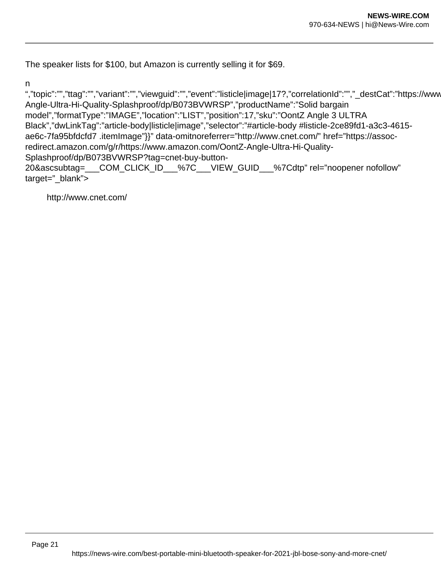The speaker lists for \$100, but Amazon is currently selling it for \$69.

n

","topic":"","ttag":"","variant":"","viewguid":"","event":"listicle|image|17?,"correlationId":"","\_destCat":"https://www Angle-Ultra-Hi-Quality-Splashproof/dp/B073BVWRSP","productName":"Solid bargain model","formatType":"IMAGE","location":"LIST","position":17,"sku":"OontZ Angle 3 ULTRA Black","dwLinkTag":"article-body|listicle|image","selector":"#article-body #listicle-2ce89fd1-a3c3-4615 ae6c-7fa95bfdcfd7 .itemImage"}}" data-omitnoreferrer="http://www.cnet.com/" href="https://assocredirect.amazon.com/g/r/https://www.amazon.com/OontZ-Angle-Ultra-Hi-Quality-Splashproof/dp/B073BVWRSP?tag=cnet-buy-button-20&ascsubtag=\_\_\_COM\_CLICK\_ID\_\_\_%7C\_\_\_VIEW\_GUID\_\_\_%7Cdtp" rel="noopener nofollow"

target="\_blank">

http://www.cnet.com/